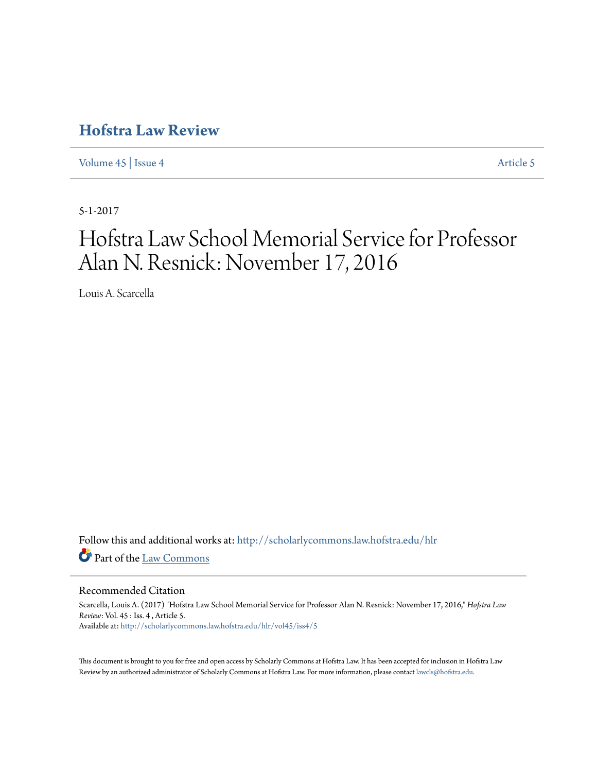## **[Hofstra Law Review](http://scholarlycommons.law.hofstra.edu/hlr?utm_source=scholarlycommons.law.hofstra.edu%2Fhlr%2Fvol45%2Fiss4%2F5&utm_medium=PDF&utm_campaign=PDFCoverPages)**

[Volume 45](http://scholarlycommons.law.hofstra.edu/hlr/vol45?utm_source=scholarlycommons.law.hofstra.edu%2Fhlr%2Fvol45%2Fiss4%2F5&utm_medium=PDF&utm_campaign=PDFCoverPages) | [Issue 4](http://scholarlycommons.law.hofstra.edu/hlr/vol45/iss4?utm_source=scholarlycommons.law.hofstra.edu%2Fhlr%2Fvol45%2Fiss4%2F5&utm_medium=PDF&utm_campaign=PDFCoverPages) [Article 5](http://scholarlycommons.law.hofstra.edu/hlr/vol45/iss4/5?utm_source=scholarlycommons.law.hofstra.edu%2Fhlr%2Fvol45%2Fiss4%2F5&utm_medium=PDF&utm_campaign=PDFCoverPages)

5-1-2017

# Hofstra Law School Memorial Service for Professor Alan N. Resnick: November 17, 2016

Louis A. Scarcella

Follow this and additional works at: [http://scholarlycommons.law.hofstra.edu/hlr](http://scholarlycommons.law.hofstra.edu/hlr?utm_source=scholarlycommons.law.hofstra.edu%2Fhlr%2Fvol45%2Fiss4%2F5&utm_medium=PDF&utm_campaign=PDFCoverPages) Part of the [Law Commons](http://network.bepress.com/hgg/discipline/578?utm_source=scholarlycommons.law.hofstra.edu%2Fhlr%2Fvol45%2Fiss4%2F5&utm_medium=PDF&utm_campaign=PDFCoverPages)

#### Recommended Citation

Scarcella, Louis A. (2017) "Hofstra Law School Memorial Service for Professor Alan N. Resnick: November 17, 2016," *Hofstra Law Review*: Vol. 45 : Iss. 4 , Article 5. Available at: [http://scholarlycommons.law.hofstra.edu/hlr/vol45/iss4/5](http://scholarlycommons.law.hofstra.edu/hlr/vol45/iss4/5?utm_source=scholarlycommons.law.hofstra.edu%2Fhlr%2Fvol45%2Fiss4%2F5&utm_medium=PDF&utm_campaign=PDFCoverPages)

This document is brought to you for free and open access by Scholarly Commons at Hofstra Law. It has been accepted for inclusion in Hofstra Law Review by an authorized administrator of Scholarly Commons at Hofstra Law. For more information, please contact [lawcls@hofstra.edu](mailto:lawcls@hofstra.edu).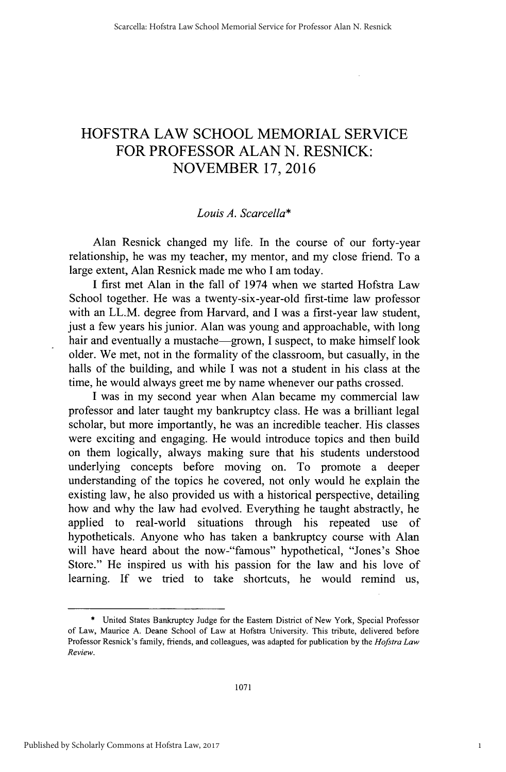### HOFSTRA LAW **SCHOOL** MEMORIAL SERVICE FOR PROFESSOR **ALAN N.** RESNICK: NOVEMBER **17, 2016**

#### *Louis A. Scarcella\**

Alan Resnick changed my life. In the course of our forty-year relationship, he was my teacher, my mentor, and my close friend. To a large extent, Alan Resnick made me who **I** am today.

**<sup>I</sup>**first met Alan in the fall of 1974 when we started Hofstra Law School together. He was a twenty-six-year-old first-time law professor with an LL.M. degree from Harvard, and **I** was a first-year law student, just a few years his junior. Alan was young and approachable, with long hair and eventually a mustache-grown, I suspect, to make himself look older. We met, not in the formality of the classroom, but casually, in the halls of the building, and while **I** was not a student in his class at the time, he would always greet me **by** name whenever our paths crossed.

**I** was in my second year when Alan became my commercial law professor and later taught my bankruptcy class. He was a brilliant legal scholar, but more importantly, he was an incredible teacher. His classes were exciting and engaging. He would introduce topics and then build on them logically, always making sure that his students understood underlying concepts before moving on. To promote a deeper understanding of the topics he covered, not only would he explain the existing law, he also provided us with a historical perspective, detailing how and why the law had evolved. Everything he taught abstractly, he applied to real-world situations through his repeated use of hypotheticals. Anyone who has taken a bankruptcy course with Alan will have heard about the now-"famous" hypothetical, "Jones's Shoe Store." He inspired us with his passion for the law and his love of learning. **If** we tried to take shortcuts, he would remind us,

<sup>\*</sup> United States Bankruptcy Judge for the Eastern District of New York, Special Professor of Law, Maurice **A.** Deane School of Law at Hofstra University. This tribute, delivered before Professor Resnick's family, friends, and colleagues, was adapted for publication **by** the *Hofstra Law Review.*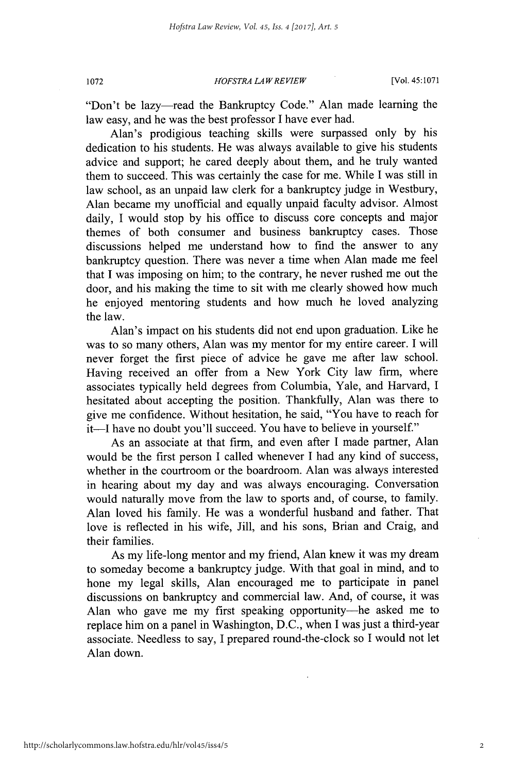#### **1OFSTRA** *LAW REVIEW* **1072** [Vol. 45:1071

"Don't be lazy—read the Bankruptcy Code." Alan made learning the law easy, and he was the best professor I have ever had.

Alan's prodigious teaching skills were surpassed only **by** his dedication to his students. He was always available to give his students advice and support; he cared deeply about them, and he truly wanted them to succeed. This was certainly the case for me. While **I** was still in law school, as an unpaid law clerk for a bankruptcy judge in Westbury, Alan became my unofficial and equally unpaid faculty advisor. Almost daily, **I** would stop **by** his office to discuss core concepts and major themes of both consumer and business bankruptcy cases. Those discussions helped me understand how to find the answer to any bankruptcy question. There was never a time when Alan made me feel that **I** was imposing on him; to the contrary, he never rushed me out the door, and his making the time to sit with me clearly showed how much he enjoyed mentoring students and how much he loved analyzing the law.

Alan's impact on his students did not end upon graduation. Like he was to so many others, Alan was my mentor for my entire career. **I** will never forget the first piece of advice he gave me after law school. Having received an offer from a New York City law firm, where associates typically held degrees from Columbia, Yale, and Harvard, **I** hesitated about accepting the position. Thankfully, Alan was there to give me confidence. Without hesitation, he said, "You have to reach for it-I have no doubt you'll succeed. You have to believe in yourself."

As an associate at that firm, and even after **I** made partner, Alan would be the first person **I** called whenever **I** had any kind of success, whether in the courtroom or the boardroom. Alan was always interested in hearing about my day and was always encouraging. Conversation would naturally move from the law to sports and, of course, to family. Alan loved his family. He was a wonderful husband and father. That love is reflected in his wife, Jill, and his sons, Brian and Craig, and their families.

As my life-long mentor and my friend, Alan knew it was my dream to someday become a bankruptcy judge. With that goal in mind, and to hone my legal skills, Alan encouraged me to participate in panel discussions on bankruptcy and commercial law. And, of course, it was Alan who gave me my first speaking opportunity-he asked me to replace him on a panel in Washington, **D.C.,** when **I** was just a third-year associate. Needless to say, I prepared round-the-clock so **I** would not let Alan down.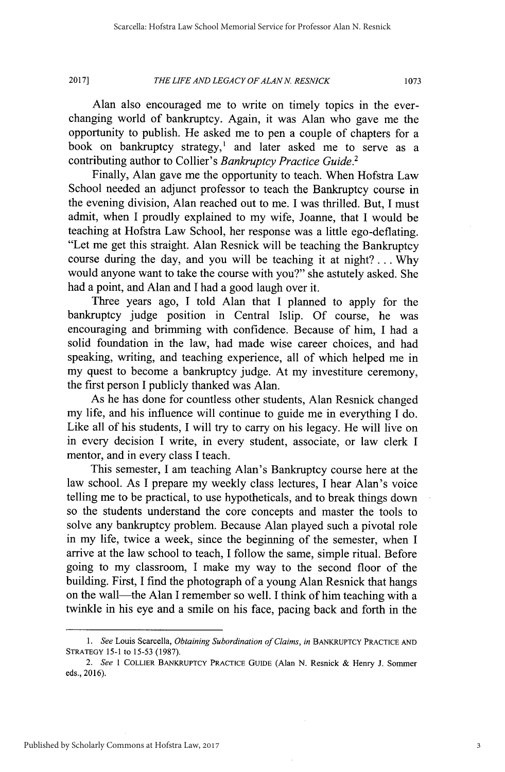#### *THE LIFE AND LEGACY OF ALAN N RESNICK* **2017] 1073**

Alan also encouraged me to write on timely topics in the everchanging world of bankruptcy. Again, it was Alan who gave me the opportunity to publish. He asked me to pen a couple of chapters for a book on bankruptcy strategy,<sup>1</sup> and later asked me to serve as a contributing author to Collier's *Bankruptcy Practice Guide.<sup>2</sup>*

Finally, Alan gave me the opportunity to teach. When Hofstra Law School needed an adjunct professor to teach the Bankruptcy course in the evening division, Alan reached out to me. **I** was thrilled. But, **I** must admit, when **I** proudly explained to my wife, Joanne, that **I** would be teaching at Hofstra Law School, her response was a little ego-deflating. "Let me get this straight. Alan Resnick will be teaching the Bankruptcy course during the day, and you will be teaching it at night? **... Why** would anyone want to take the course with you?" she astutely asked. She had a point, and Alan and **I** had a good laugh over it.

Three years ago, **I** told Alan that **I** planned to apply for the bankruptcy judge position in Central Islip. **Of** course, he was encouraging and brimming with confidence. Because of him, **I** had a solid foundation in the law, had made wise career choices, and had speaking, writing, and teaching experience, all of which helped me in my quest to become a bankruptcy judge. At my investiture ceremony, the first person **I** publicly thanked was Alan.

As he has done for countless other students, Alan Resnick changed my life, and his influence will continue to guide me in everything **I** do. Like all of his students, **I** will try to carry on his legacy. He will live on in every decision **I** write, in every student, associate, or law clerk **I** mentor, and in every class **I** teach.

This semester, **I** am teaching Alan's Bankruptcy course here at the law school. As **I** prepare my weekly class lectures, **I** hear Alan's voice telling me to be practical, to use hypotheticals, and to break things down so the students understand the core concepts and master the tools to solve any bankruptcy problem. Because Alan played such a pivotal role in my life, twice a week, since the beginning of the semester, when **I** arrive at the law school to teach, **I** follow the same, simple ritual. Before going to my classroom, **I** make my way to the second floor of the building. First, **I** find the photograph of a young Alan Resnick that hangs on the wall-the Alan **I** remember so well. **I** think of him teaching with a twinkle in his eye and a smile on his face, pacing back and forth in the

*<sup>1.</sup> See* Louis Scarcella, *Obtaining Subordination of Claims, in* **BANKRUPTCY PRACTICE AND STRATEGY 15-1** to **15-53 (1987).**

*<sup>2.</sup> See* **I COLLIER BANKRUPTCY PRACTICE GUIDE** (Alan **N.** Resnick **&** Henry **J.** Sommer eds., **2016).**